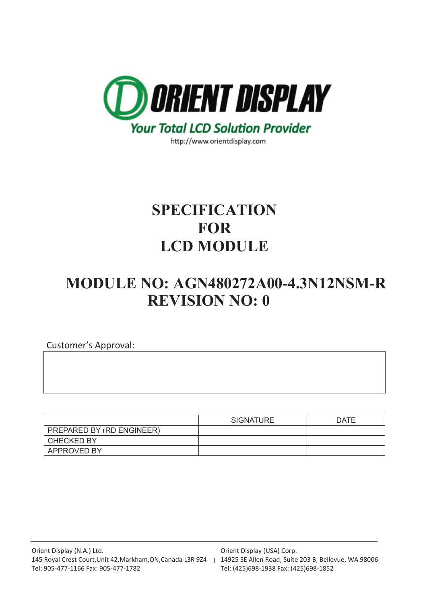

http://www.orientdisplay.com

# **SPECIFICATION FOR LCD MODULE**

# **MODULE NO: AGN480272A00-4.3N12NSM-R REVISION NO: 0**

Customer's Approval:

|                           | <b>SIGNATURE</b> | <b>DATE</b> |
|---------------------------|------------------|-------------|
| PREPARED BY (RD ENGINEER) |                  |             |
| <b>CHECKED BY</b>         |                  |             |
| <b>APPROVED BY</b>        |                  |             |

Orient Display (USA) Corp.

Tel: (425)698-1938 Fax: (425)698-1852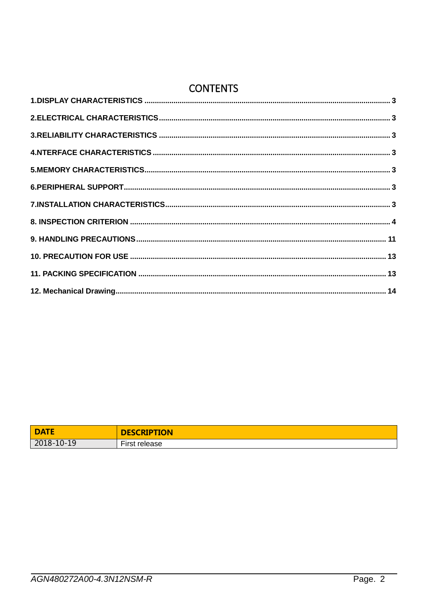### **CONTENTS**

| <b>DATE</b> | <b>DESCRIPTION</b>            |
|-------------|-------------------------------|
| 2018-10-19  | $- \cdot$<br>First<br>release |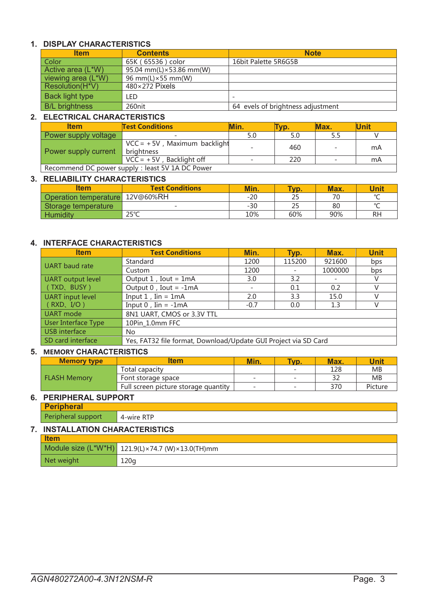### <span id="page-2-0"></span>**1. DISPLAY CHARACTERISTICS**

| <b>Item</b>           | <b>Contents</b>            | <b>Note</b>                       |  |  |
|-----------------------|----------------------------|-----------------------------------|--|--|
| Color                 | 65K (65536) color          | 16bit Palette 5R6G5B              |  |  |
| Active area (L*W)     | 95.04 mm(L) × 53.86 mm(W)  |                                   |  |  |
| viewing area (L*W)    | 96 mm(L) $\times$ 55 mm(W) |                                   |  |  |
| Resolution(H*V)       | $480\times272$ Pixels      |                                   |  |  |
| Back light type       | LED                        | $\overline{\phantom{a}}$          |  |  |
| <b>B/L</b> brightness | 260nit                     | 64 evels of brightness adjustment |  |  |

#### <span id="page-2-1"></span>**2. ELECTRICAL CHARACTERISTICS**

| <b>Item</b>                                      | <b>Test Conditions</b>                        | Min.                     | VD. | Max. | Unit |  |
|--------------------------------------------------|-----------------------------------------------|--------------------------|-----|------|------|--|
| Power supply voltage                             |                                               | 5.0                      |     | 5.5  |      |  |
| Power supply current                             | $VCC = +5V$ , Maximum backlight<br>brightness | $\overline{\phantom{0}}$ | 460 |      | mA   |  |
|                                                  | $VCC = +5V$ , Backlight off                   |                          | 220 |      | mA   |  |
| Recommend DC power supply : least 5V 1A DC Power |                                               |                          |     |      |      |  |

#### <span id="page-2-2"></span>**3. RELIABILITY CHARACTERISTICS**

| ltem                  | <b>Test Conditions</b>   | Min.  | Typ. | Max. | Unit   |
|-----------------------|--------------------------|-------|------|------|--------|
| Operation temperature | 12V@60%RH                | $-20$ | ے ک  | 70   | $\sim$ |
| Storage temperature   | $\overline{\phantom{0}}$ | $-30$ | 25   | 80   | $\sim$ |
| <b>Humidity</b>       | $7E^{\circ}C$            | 10%   | 60%  | 90%  | RH     |

#### <span id="page-2-3"></span>**4. INTERFACE CHARACTERISTICS**

| <b>Item</b>             | <b>Test Conditions</b>                                          | Min.                     | Typ.   | Max.    | <b>Unit</b> |  |
|-------------------------|-----------------------------------------------------------------|--------------------------|--------|---------|-------------|--|
|                         | Standard                                                        | 1200                     | 115200 | 921600  | bps         |  |
| UART baud rate          | Custom                                                          | 1200                     |        | 1000000 | bps         |  |
| UART output level       | Output $1$ , Iout = $1mA$                                       | 3.0                      | 3.2    |         | V           |  |
| (TXD、BUSY)              | Output $0$ , Iout = -1mA                                        | $\overline{\phantom{a}}$ | 0.1    | 0.2     |             |  |
| <b>UART</b> input level | Input $1$ , Iin = $1mA$                                         | 2.0                      | 3.3    | 15.0    | V           |  |
| $\mid$ (RXD, I/O)       | Input $0$ , Iin = -1mA                                          | $-0.7$                   | 0.0    | 1.3     | V           |  |
| UART mode               | 8N1 UART, CMOS or 3.3V TTL                                      |                          |        |         |             |  |
| User Interface Type     | 10Pin 1.0mm FFC                                                 |                          |        |         |             |  |
| USB interface           | No.                                                             |                          |        |         |             |  |
| SD card interface       | Yes, FAT32 file format, Download/Update GUI Project via SD Card |                          |        |         |             |  |

#### <span id="page-2-4"></span>**5. MEMORY CHARACTERISTICS**

|  | <b>Memory type</b>  | ltem                                 | Min.                     | Typ.                     | Max. | <b>Unit</b> |
|--|---------------------|--------------------------------------|--------------------------|--------------------------|------|-------------|
|  | <b>FLASH Memory</b> | Total capacity                       |                          | $\overline{\phantom{0}}$ | 128  | <b>MB</b>   |
|  |                     | Font storage space                   | $\overline{\phantom{0}}$ | $\overline{\phantom{0}}$ | າາ   | <b>MB</b>   |
|  |                     | Full screen picture storage quantity | $\overline{\phantom{0}}$ | $\overline{\phantom{0}}$ | 370  | Picture     |

#### <span id="page-2-5"></span>**6. PERIPHERAL SUPPORT**

**Peripheral**

Peripheral support | 4-wire RTP

#### <span id="page-2-6"></span>**7. INSTALLATION CHARACTERISTICS**

| <b>I</b> tem |                                                  |  |  |  |
|--------------|--------------------------------------------------|--|--|--|
|              | Module size (L*W*H) 121.9(L)×74.7 (W)×13.0(TH)mm |  |  |  |
| Net weight   | 120q                                             |  |  |  |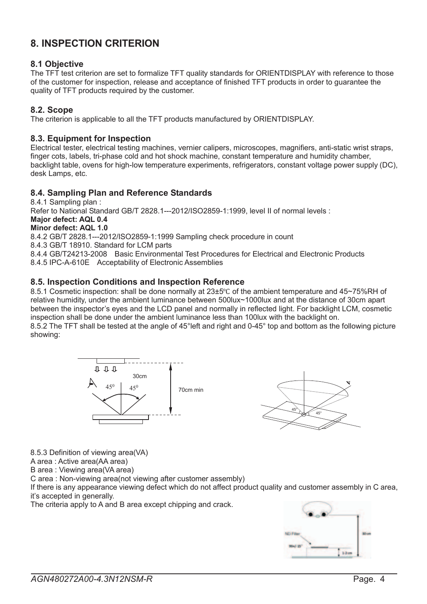### <span id="page-3-0"></span>**8. INSPECTION CRITERION**

#### **8.1 Objective**

The TFT test criterion are set to formalize TFT quality standards for ORIENTDISPLAY with reference to those of the customer for inspection, release and acceptance of finished TFT products in order to guarantee the quality of TFT products required by the customer.

#### **8.2. Scope**

The criterion is applicable to all the TFT products manufactured by ORIENTDISPLAY.

#### **8.3. Equipment for Inspection**

Electrical tester, electrical testing machines, vernier calipers, microscopes, magnifiers, anti-static wrist straps, finger cots, labels, tri-phase cold and hot shock machine, constant temperature and humidity chamber, backlight table, ovens for high-low temperature experiments, refrigerators, constant voltage power supply (DC), desk Lamps, etc.

#### **8.4. Sampling Plan and Reference Standards**

8.4.1 Sampling plan : Refer to National Standard GB/T 2828.1---2012/ISO2859-1:1999, level II of normal levels : **Major defect: AQL 0.4 Minor defect: AQL 1.0** 8.4.2 GB/T 2828.1---2012/ISO2859-1:1999 Sampling check procedure in count 8.4.3 GB/T 18910. Standard for LCM parts 8.4.4 GB/T24213-2008 Basic Environmental Test Procedures for Electrical and Electronic Products 8.4.5 IPC-A-610E Acceptability of Electronic Assemblies

#### **8.5. Inspection Conditions and Inspection Reference**

8.5.1 Cosmetic inspection: shall be done normally at 23±5℃ of the ambient temperature and 45~75%RH of relative humidity, under the ambient luminance between 500lux~1000lux and at the distance of 30cm apart between the inspector's eyes and the LCD panel and normally in reflected light. For backlight LCM, cosmetic inspection shall be done under the ambient luminance less than 100lux with the backlight on. 8.5.2 The TFT shall be tested at the angle of 45°left and right and 0-45° top and bottom as the following picture showing:





8.5.3 Definition of viewing area(VA)

A area : Active area(AA area)

B area : Viewing area(VA area)

C area : Non-viewing area(not viewing after customer assembly)

If there is any appearance viewing defect which do not affect product quality and customer assembly in C area, it's accepted in generally.

The criteria apply to A and B area except chipping and crack.

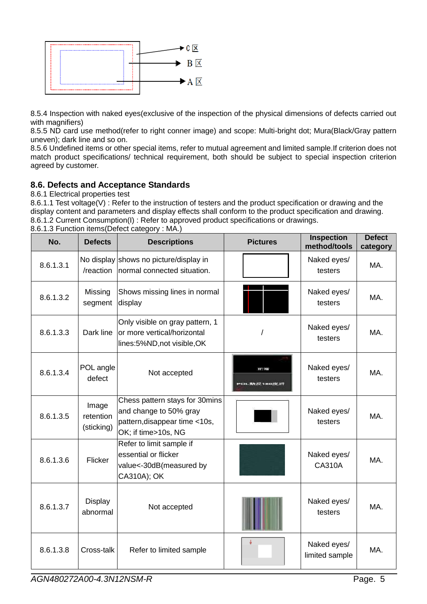

8.5.4 Inspection with naked eyes(exclusive of the inspection of the physical dimensions of defects carried out with magnifiers)

8.5.5 ND card use method(refer to right conner image) and scope: Multi-bright dot; Mura(Black/Gray pattern uneven); dark line and so on.

8.5.6 Undefined items or other special items, refer to mutual agreement and limited sample.If criterion does not match product specifications/ technical requirement, both should be subject to special inspection criterion agreed by customer.

#### **8.6. Defects and Acceptance Standards**

8.6.1 Electrical properties test

8.6.1.1 Test voltage(V) : Refer to the instruction of testers and the product specification or drawing and the display content and parameters and display effects shall conform to the product specification and drawing. 8.6.1.2 Current Consumption(I) : Refer to approved product specifications or drawings.

| No.       | <b>Defects</b>                   | <b>Descriptions</b>                                                                                              | <b>Pictures</b>             | <b>Inspection</b><br>method/tools | <b>Defect</b><br>category |
|-----------|----------------------------------|------------------------------------------------------------------------------------------------------------------|-----------------------------|-----------------------------------|---------------------------|
| 8.6.1.3.1 | /reaction                        | No display shows no picture/display in<br>normal connected situation.                                            |                             | Naked eyes/<br>testers            | MA.                       |
| 8.6.1.3.2 | Missing<br>segment               | Shows missing lines in normal<br>display                                                                         |                             | Naked eyes/<br>testers            | MA.                       |
| 8.6.1.3.3 | Dark line                        | Only visible on gray pattern, 1<br>or more vertical/horizontal<br>lines:5%ND, not visible, OK                    |                             | Naked eyes/<br>testers            | MA.                       |
| 8.6.1.3.4 | POL angle<br>defect              | Not accepted                                                                                                     | IT: 98<br>ロレ 助み バブ ユ おロガゲ 折 | Naked eyes/<br>testers            | MA.                       |
| 8.6.1.3.5 | Image<br>retention<br>(sticking) | Chess pattern stays for 30mins<br>and change to 50% gray<br>pattern, disappear time <10s,<br>OK; if time>10s, NG |                             | Naked eyes/<br>testers            | MA.                       |
| 8.6.1.3.6 | Flicker                          | Refer to limit sample if<br>essential or flicker<br>value<-30dB(measured by<br>CA310A); OK                       |                             | Naked eyes/<br><b>CA310A</b>      | MA.                       |
| 8.6.1.3.7 | Display<br>abnormal              | Not accepted                                                                                                     |                             | Naked eyes/<br>testers            | MA.                       |
| 8.6.1.3.8 | Cross-talk                       | Refer to limited sample                                                                                          |                             | Naked eyes/<br>limited sample     | MA.                       |

8.6.1.3 Function items(Defect category : MA.)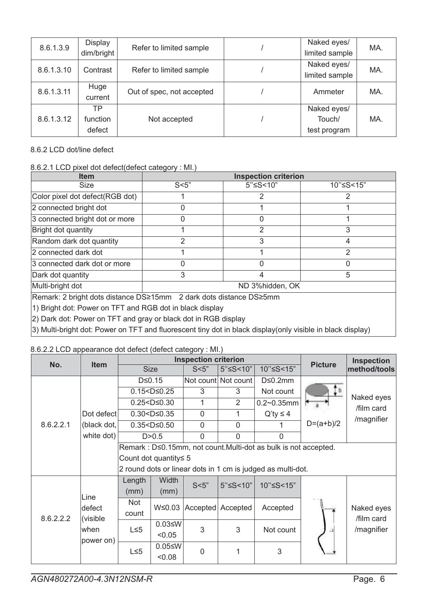| 8.6.1.3.9  | Display    | Refer to limited sample   | Naked eyes/    | MA. |
|------------|------------|---------------------------|----------------|-----|
|            | dim/bright |                           | limited sample |     |
| 8.6.1.3.10 | Contrast   | Refer to limited sample   | Naked eyes/    | MA. |
|            |            |                           | limited sample |     |
| 8.6.1.3.11 | Huge       | Out of spec, not accepted | Ammeter        | MA. |
|            | current    |                           |                |     |
|            | ТP         |                           | Naked eyes/    |     |
| 8.6.1.3.12 | function   | Not accepted              | Touch/         | MA. |
|            | defect     |                           | test program   |     |

8.6.2 LCD dot/line defect

#### 8.6.2.1 LCD pixel dot defect(defect category : MI.)

| <b>Item</b>                                                        |                 | <b>Inspection criterion</b> |           |  |  |  |
|--------------------------------------------------------------------|-----------------|-----------------------------|-----------|--|--|--|
| <b>Size</b>                                                        | S<5"            | 5"≤S<10"                    | 10"≤S<15" |  |  |  |
| Color pixel dot defect(RGB dot)                                    |                 |                             | 2         |  |  |  |
| 2 connected bright dot                                             |                 |                             |           |  |  |  |
| 3 connected bright dot or more                                     |                 |                             |           |  |  |  |
| Bright dot quantity                                                |                 | 2                           | 3         |  |  |  |
| Random dark dot quantity                                           | 2               | 3                           | 4         |  |  |  |
| 2 connected dark dot                                               |                 |                             |           |  |  |  |
| 3 connected dark dot or more                                       |                 |                             |           |  |  |  |
| Dark dot quantity                                                  | 3               | 4                           | 5         |  |  |  |
| Multi-bright dot                                                   | ND 3%hidden, OK |                             |           |  |  |  |
| Remark: 2 bright dots distance DS≥15mm 2 dark dots distance DS≥5mm |                 |                             |           |  |  |  |
| 1) Bright dot: Power on TFT and RGB dot in black display           |                 |                             |           |  |  |  |
| [2] Dark dot: Power on TFT and gray or black dot in RGB display    |                 |                             |           |  |  |  |

3) Multi-bright dot: Power on TFT and fluorescent tiny dot in black display(only visible in black display)

#### 8.6.2.2 LCD appearance dot defect (defect category : MI.)

|           |                | <b>Inspection criterion</b> |                             |                |                            |                                                                 | <b>Inspection</b> |                          |
|-----------|----------------|-----------------------------|-----------------------------|----------------|----------------------------|-----------------------------------------------------------------|-------------------|--------------------------|
| No.       | <b>Item</b>    |                             | <b>Size</b>                 | S<5"           | $5"$ $\leq$ $5$ $<$ $10"$  | 10"≤S<15"                                                       | <b>Picture</b>    | method/tools             |
|           |                |                             | $D \le 0.15$                |                | Not count Not count        | $D \leq 0.2$ mm                                                 |                   |                          |
|           |                |                             | $0.15 < D \le 0.25$         |                | 3                          | Not count                                                       | Ţþ                |                          |
|           |                |                             | $0.25 < D \le 0.30$         | 1              | 2                          | $0.2 - 0.35$ mm                                                 |                   | Naked eyes<br>/film card |
|           | Dot defect     |                             | $0.30 < D \le 0.35$         | $\overline{0}$ | 1                          | $Q'$ ty $\leq 4$                                                |                   |                          |
| 8.6.2.2.1 | (black dot,    |                             | $0.35 < D \le 0.50$         | 0              | $\Omega$                   |                                                                 | $D=(a+b)/2$       | /magnifier               |
|           | white dot)     |                             | D > 0.5                     | 0              | $\Omega$                   | $\Omega$                                                        |                   |                          |
|           |                |                             |                             |                |                            | Remark : D≤0.15mm, not count.Multi-dot as bulk is not accepted. |                   |                          |
|           |                |                             | Count dot quantity $\leq 5$ |                |                            |                                                                 |                   |                          |
|           |                |                             |                             |                |                            | 2 round dots or linear dots in 1 cm is judged as multi-dot.     |                   |                          |
|           |                | Length                      | Width                       | S<5"           | $5"$ $\leq$ $5$ $\leq$ 10" | 10"≤S<15"                                                       |                   |                          |
|           |                | (mm)<br>(mm)                |                             |                |                            |                                                                 |                   |                          |
|           | Line<br>defect | <b>Not</b>                  | W≤0.03                      |                | Accepted   Accepted        | Accepted                                                        |                   | Naked eyes               |
| 8.6.2.2.2 | (visible       | count                       |                             |                |                            |                                                                 |                   | /film card               |
|           | when           | $L \leq 5$                  | $0.03 \leq W$               | 3              | 3                          | Not count                                                       |                   | /magnifier               |
|           | power on)      |                             | < 0.05                      |                |                            |                                                                 |                   |                          |
|           |                | $L \leq 5$                  | $0.05 \leq W$               | $\overline{0}$ | 1                          | 3                                                               |                   |                          |
|           |                |                             | 0.08                        |                |                            |                                                                 |                   |                          |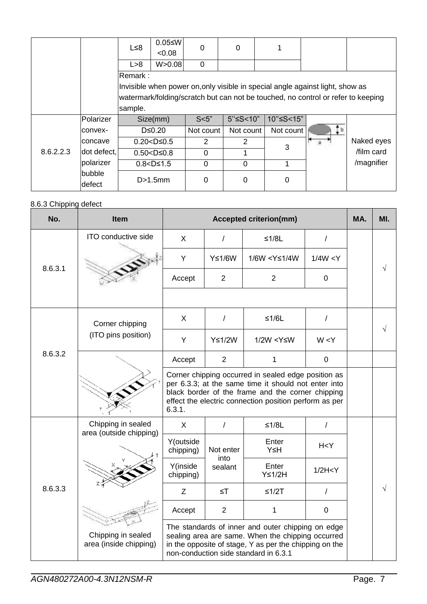|           |                  | L≤8     | $0.05 \leq W$<br>< 0.08 | 0         | 0                         |           |                                                                                  |            |
|-----------|------------------|---------|-------------------------|-----------|---------------------------|-----------|----------------------------------------------------------------------------------|------------|
|           |                  | L > 8   | W > 0.08                | 0         |                           |           |                                                                                  |            |
|           |                  | Remark: |                         |           |                           |           |                                                                                  |            |
|           |                  |         |                         |           |                           |           | Invisible when power on, only visible in special angle against light, show as    |            |
|           |                  |         |                         |           |                           |           | watermark/folding/scratch but can not be touched, no control or refer to keeping |            |
|           |                  | sample. |                         |           |                           |           |                                                                                  |            |
|           | Polarizer        |         | Size(mm)                | S<5"      | $5"$ $\leq$ $5$ $<$ $10"$ | 10"≤S<15" |                                                                                  |            |
|           | Iconvex-         |         | $D \leq 0.20$           | Not count | Not count                 | Not count |                                                                                  |            |
|           | lconcave         |         | $0.20 < D \leq 0.5$     | 2         | 2                         | 3         |                                                                                  | Naked eyes |
| 8.6.2.2.3 | dot defect,      |         | $0.50 < D \le 0.8$      | $\Omega$  |                           |           |                                                                                  | film card  |
|           | polarizer        |         | $0.8 < D \le 1.5$       | $\Omega$  | $\mathbf{0}$              |           |                                                                                  | /magnifier |
|           | bubble<br>defect |         | D>1.5mm                 | 0         | 0                         | 0         |                                                                                  |            |

#### 8.6.3 Chipping defect

| No.     | <b>Item</b>                                   |                                                                                                                                                                                                                                      |                 | <b>Accepted criterion(mm)</b>                                       |                | MA. | MI. |
|---------|-----------------------------------------------|--------------------------------------------------------------------------------------------------------------------------------------------------------------------------------------------------------------------------------------|-----------------|---------------------------------------------------------------------|----------------|-----|-----|
|         | ITO conductive side                           | X                                                                                                                                                                                                                                    | $\prime$        | $≤1/8L$                                                             | $\overline{1}$ |     |     |
| 8.6.3.1 |                                               | Y                                                                                                                                                                                                                                    | $Y \leq 1/6W$   | 1/6W <y≤1 4w<="" td=""><td>1/4W &lt; Y</td><td></td><td></td></y≤1> | 1/4W < Y       |     |     |
|         |                                               | Accept                                                                                                                                                                                                                               | $\overline{2}$  | 2                                                                   | $\mathbf 0$    |     |     |
|         |                                               |                                                                                                                                                                                                                                      |                 |                                                                     |                |     |     |
| 8.6.3.2 | Corner chipping                               | X                                                                                                                                                                                                                                    | $\prime$        | $≤1/6L$                                                             | $\prime$       |     |     |
|         | (ITO pins position)                           | Y                                                                                                                                                                                                                                    | $Y \leq 1/2W$   | 1/2W <y≤w< td=""><td>W &lt; Y</td><td></td><td></td></y≤w<>         | W < Y          |     |     |
|         |                                               | Accept                                                                                                                                                                                                                               | 2               | 1                                                                   | $\mathbf 0$    |     |     |
|         |                                               | Corner chipping occurred in sealed edge position as<br>per 6.3.3; at the same time it should not enter into<br>black border of the frame and the corner chipping<br>effect the electric connection position perform as per<br>6.3.1. |                 |                                                                     |                |     |     |
|         | Chipping in sealed<br>area (outside chipping) | $\mathsf{X}$                                                                                                                                                                                                                         | $\prime$        | $≤1/8L$                                                             | $\prime$       |     |     |
|         |                                               | Y(outside<br>chipping)                                                                                                                                                                                                               | Not enter       | Enter<br>Y≤H                                                        | H < Y          |     |     |
|         |                                               | Y(inside<br>chipping)                                                                                                                                                                                                                | into<br>sealant | Enter<br>$Y \leq 1/2H$                                              | 1/2H < Y       |     |     |
| 8.6.3.3 |                                               | Z                                                                                                                                                                                                                                    | $\leq$ T        | $≤1/2T$                                                             | $\prime$       |     |     |
|         |                                               | 2<br>$\pmb{0}$<br>Accept<br>1                                                                                                                                                                                                        |                 |                                                                     |                |     |     |
|         | Chipping in sealed<br>area (inside chipping)  | The standards of inner and outer chipping on edge<br>sealing area are same. When the chipping occurred<br>in the opposite of stage, Y as per the chipping on the<br>non-conduction side standard in 6.3.1                            |                 |                                                                     |                |     |     |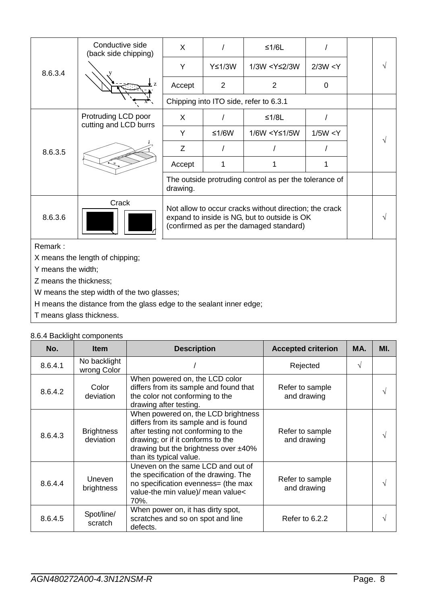|                                 | Conductive side<br>(back side chipping)      | X                                                                                                   |                                                                                                                                                   | $≤1/6L$                                                              |             |  |   |  |  |  |
|---------------------------------|----------------------------------------------|-----------------------------------------------------------------------------------------------------|---------------------------------------------------------------------------------------------------------------------------------------------------|----------------------------------------------------------------------|-------------|--|---|--|--|--|
| 8.6.3.4                         |                                              | Y                                                                                                   | Y≤1/3W                                                                                                                                            | 1/3W <y≤2 3w<="" td=""><td>2/3W &lt; Y</td><td></td><td>V</td></y≤2> | 2/3W < Y    |  | V |  |  |  |
|                                 |                                              | Accept                                                                                              | $\overline{2}$                                                                                                                                    | 2                                                                    | $\mathbf 0$ |  |   |  |  |  |
|                                 |                                              |                                                                                                     |                                                                                                                                                   | Chipping into ITO side, refer to 6.3.1                               |             |  |   |  |  |  |
|                                 | Protruding LCD poor<br>cutting and LCD burrs | X                                                                                                   |                                                                                                                                                   | $≤1/8L$                                                              |             |  |   |  |  |  |
|                                 |                                              | Y                                                                                                   | ≤1/6W                                                                                                                                             | 1/6W <y≤1 5w<="" td=""><td>1/5W &lt; Y</td><td></td><td></td></y≤1>  | 1/5W < Y    |  |   |  |  |  |
| 8.6.3.5                         |                                              | Ζ                                                                                                   |                                                                                                                                                   |                                                                      |             |  |   |  |  |  |
|                                 |                                              | Accept                                                                                              | 1                                                                                                                                                 |                                                                      |             |  |   |  |  |  |
|                                 |                                              | The outside protruding control as per the tolerance of<br>drawing.                                  |                                                                                                                                                   |                                                                      |             |  |   |  |  |  |
| 8.6.3.6                         | Crack                                        |                                                                                                     | Not allow to occur cracks without direction; the crack<br>expand to inside is NG, but to outside is OK<br>(confirmed as per the damaged standard) |                                                                      |             |  |   |  |  |  |
| Remark:                         |                                              |                                                                                                     |                                                                                                                                                   |                                                                      |             |  |   |  |  |  |
| X means the length of chipping; |                                              |                                                                                                     |                                                                                                                                                   |                                                                      |             |  |   |  |  |  |
| Y means the width;              |                                              |                                                                                                     |                                                                                                                                                   |                                                                      |             |  |   |  |  |  |
| Z means the thickness;          |                                              |                                                                                                     |                                                                                                                                                   |                                                                      |             |  |   |  |  |  |
|                                 | W means the step width of the two glasses;   |                                                                                                     |                                                                                                                                                   |                                                                      |             |  |   |  |  |  |
|                                 |                                              | والمتمثل فتمسا والمستوات والفراسية المتعارض والمستوات المسارق والمستحقق والمستحدث والفراس والمستحين |                                                                                                                                                   |                                                                      |             |  |   |  |  |  |

H means the distance from the glass edge to the sealant inner edge;

T means glass thickness.

|  |  | 8.6.4 Backlight components |
|--|--|----------------------------|
|--|--|----------------------------|

| No.     | <b>Item</b>                    | <b>Description</b>                                                                                                                                                                                                         | <b>Accepted criterion</b>      | MA. | MI. |
|---------|--------------------------------|----------------------------------------------------------------------------------------------------------------------------------------------------------------------------------------------------------------------------|--------------------------------|-----|-----|
| 8.6.4.1 | No backlight<br>wrong Color    |                                                                                                                                                                                                                            | Rejected                       |     |     |
| 8.6.4.2 | Color<br>deviation             | When powered on, the LCD color<br>differs from its sample and found that<br>the color not conforming to the<br>drawing after testing.                                                                                      | Refer to sample<br>and drawing |     |     |
| 8.6.4.3 | <b>Brightness</b><br>deviation | When powered on, the LCD brightness<br>differs from its sample and is found<br>after testing not conforming to the<br>drawing; or if it conforms to the<br>drawing but the brightness over ±40%<br>than its typical value. | Refer to sample<br>and drawing |     |     |
| 8.6.4.4 | <b>Uneven</b><br>brightness    | Uneven on the same LCD and out of<br>the specification of the drawing. The<br>no specification evenness= (the max<br>value-the min value)/ mean value<<br>70%.                                                             | Refer to sample<br>and drawing |     |     |
| 8.6.4.5 | Spot/line/<br>scratch          | When power on, it has dirty spot,<br>scratches and so on spot and line<br>defects.                                                                                                                                         | Refer to 6.2.2                 |     |     |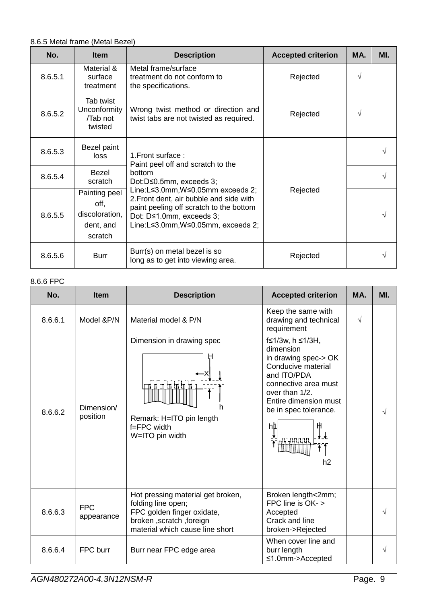#### 8.6.5 Metal frame (Metal Bezel)

| No.     | <b>Item</b>                                                     | <b>Description</b>                                                                                                                                                                      | <b>Accepted criterion</b> | MA. | MI. |
|---------|-----------------------------------------------------------------|-----------------------------------------------------------------------------------------------------------------------------------------------------------------------------------------|---------------------------|-----|-----|
| 8.6.5.1 | Material &<br>surface<br>treatment                              | Metal frame/surface<br>treatment do not conform to<br>the specifications.                                                                                                               | Rejected                  | √   |     |
| 8.6.5.2 | Tab twist<br>Unconformity<br>/Tab not<br>twisted                | Wrong twist method or direction and<br>twist tabs are not twisted as required.                                                                                                          | Rejected                  | √   |     |
| 8.6.5.3 | Bezel paint<br>loss                                             | 1. Front surface:<br>Paint peel off and scratch to the                                                                                                                                  |                           |     |     |
| 8.6.5.4 | Bezel<br>scratch                                                | bottom<br>Dot:D≤0.5mm, exceeds 3;                                                                                                                                                       |                           |     |     |
| 8.6.5.5 | Painting peel<br>off,<br>discoloration,<br>dent, and<br>scratch | Line:L≤3.0mm,W≤0.05mm exceeds 2;<br>2. Front dent, air bubble and side with<br>paint peeling off scratch to the bottom<br>Dot: D≤1.0mm, exceeds 3;<br>Line:L≤3.0mm,W≤0.05mm, exceeds 2; | Rejected                  |     |     |
| 8.6.5.6 | <b>Burr</b>                                                     | Burr(s) on metal bezel is so<br>long as to get into viewing area.                                                                                                                       | Rejected                  |     | V   |

### 8.6.6 FPC

| No.     | <b>Item</b>              | <b>Description</b>                                                                                                                                   | <b>Accepted criterion</b>                                                                                                                                                                                | MA.       | MI. |
|---------|--------------------------|------------------------------------------------------------------------------------------------------------------------------------------------------|----------------------------------------------------------------------------------------------------------------------------------------------------------------------------------------------------------|-----------|-----|
| 8.6.6.1 | Model &P/N               | Material model & P/N                                                                                                                                 | Keep the same with<br>drawing and technical<br>requirement                                                                                                                                               | $\sqrt{}$ |     |
| 8.6.6.2 | Dimension/<br>position   | Dimension in drawing spec<br>征<br>łΠ<br>Remark: H=ITO pin length<br>f=FPC width<br>W=ITO pin width                                                   | f≤1/3w, h ≤1/3H,<br>dimension<br>in drawing spec-> OK<br>Conducive material<br>and ITO/PDA<br>connective area must<br>over than 1/2.<br>Entire dimension must<br>be in spec tolerance.<br>hþ<br>↓↓<br>h2 |           | √   |
| 8.6.6.3 | <b>FPC</b><br>appearance | Hot pressing material get broken,<br>folding line open;<br>FPC golden finger oxidate,<br>broken, scratch, foreign<br>material which cause line short | Broken length<2mm;<br>FPC line is OK- ><br>Accepted<br>Crack and line<br>broken->Rejected                                                                                                                |           |     |
| 8.6.6.4 | FPC burr                 | Burr near FPC edge area                                                                                                                              | When cover line and<br>burr length<br>$\leq$ 1.0mm->Accepted                                                                                                                                             |           | V   |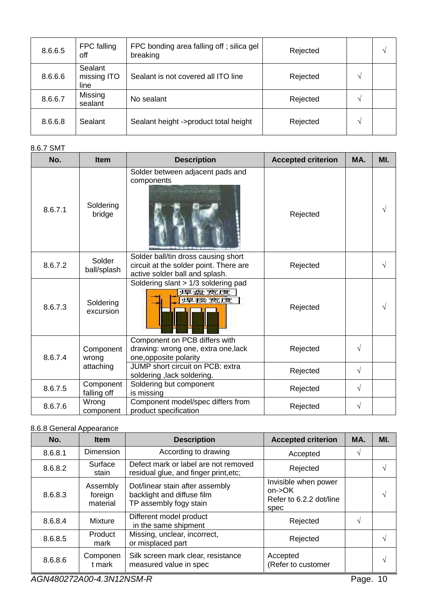| 8.6.6.5 | FPC falling<br>off             | FPC bonding area falling off; silica gel<br>breaking | Rejected | ٦ |
|---------|--------------------------------|------------------------------------------------------|----------|---|
| 8.6.6.6 | Sealant<br>missing ITO<br>line | Sealant is not covered all ITO line                  | Rejected |   |
| 8.6.6.7 | Missing<br>sealant             | No sealant                                           | Rejected |   |
| 8.6.6.8 | Sealant                        | Sealant height ->product total height                | Rejected |   |

### 8.6.7 SMT

| No.     | <b>Item</b>              | <b>Description</b>                                                                                              | <b>Accepted criterion</b> | MA. | MI. |
|---------|--------------------------|-----------------------------------------------------------------------------------------------------------------|---------------------------|-----|-----|
| 8.6.7.1 | Soldering<br>bridge      | Solder between adjacent pads and<br>components                                                                  | Rejected                  |     |     |
| 8.6.7.2 | Solder<br>ball/splash    | Solder ball/tin dross causing short<br>circuit at the solder point. There are<br>active solder ball and splash. | Rejected                  |     |     |
| 8.6.7.3 | Soldering<br>excursion   | Soldering slant > 1/3 soldering pad<br>焊盘宽度<br>焊接宽度                                                             | Rejected                  |     |     |
| 8.6.7.4 | Component<br>wrong       | Component on PCB differs with<br>drawing: wrong one, extra one, lack<br>one, opposite polarity                  | Rejected                  | √   |     |
|         | attaching                | JUMP short circuit on PCB: extra<br>soldering, lack soldering.                                                  | Rejected                  | √   |     |
| 8.6.7.5 | Component<br>falling off | Soldering but component<br>is missing                                                                           | Rejected                  | V   |     |
| 8.6.7.6 | Wrong<br>component       | Component model/spec differs from<br>product specification                                                      | Rejected                  | √   |     |

#### 8.6.8 General Appearance

| No.     | <b>Item</b>                     | <b>Description</b>                                                                      | <b>Accepted criterion</b>                                            | MA. | MI. |
|---------|---------------------------------|-----------------------------------------------------------------------------------------|----------------------------------------------------------------------|-----|-----|
| 8.6.8.1 | <b>Dimension</b>                | According to drawing                                                                    | Accepted                                                             | V   |     |
| 8.6.8.2 | Surface<br>stain                | Defect mark or label are not removed<br>residual glue, and finger print, etc;           | Rejected                                                             |     |     |
| 8.6.8.3 | Assembly<br>foreign<br>material | Dot/linear stain after assembly<br>backlight and diffuse film<br>TP assembly fogy stain | Invisible when power<br>$on$ ->OK<br>Refer to 6.2.2 dot/line<br>spec |     | V   |
| 8.6.8.4 | Mixture                         | Different model product<br>in the same shipment                                         | Rejected                                                             | V   |     |
| 8.6.8.5 | Product<br>mark                 | Missing, unclear, incorrect,<br>or misplaced part                                       | Rejected                                                             |     |     |
| 8.6.8.6 | Componen<br>t mark              | Silk screen mark clear, resistance<br>measured value in spec                            | Accepted<br>(Refer to customer                                       |     | N   |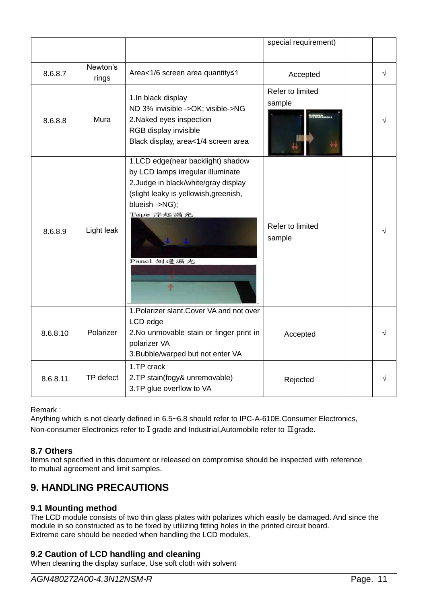|          |                   |                                                                                                                                                                                                      | special requirement)       |   |
|----------|-------------------|------------------------------------------------------------------------------------------------------------------------------------------------------------------------------------------------------|----------------------------|---|
| 8.6.8.7  | Newton's<br>rings | Area<1/6 screen area quantity≤1                                                                                                                                                                      | Accepted                   | √ |
| 8.6.8.8  | Mura              | 1.In black display<br>ND 3% invisible ->OK; visible->NG<br>2. Naked eyes inspection<br>RGB display invisible<br>Black display, area<1/4 screen area                                                  | Refer to limited<br>sample |   |
| 8.6.8.9  | Light leak        | 1.LCD edge(near backlight) shadow<br>by LCD lamps irregular illuminate<br>2. Judge in black/white/gray display<br>(slight leaky is yellowish, greenish,<br>blueish ->NG);<br>Tape 浮起漏光<br>Panel 側邊編光 | Refer to limited<br>sample |   |
| 8.6.8.10 | Polarizer         | 1. Polarizer slant. Cover VA and not over<br>LCD edge<br>2. No unmovable stain or finger print in<br>polarizer VA<br>3. Bubble/warped but not enter VA                                               | Accepted                   |   |
| 8.6.8.11 | TP defect         | 1.TP crack<br>2.TP stain(fogy& unremovable)<br>3. TP glue overflow to VA                                                                                                                             | Rejected                   |   |

Remark :

Anything which is not clearly defined in 6.5~6.8 should refer to IPC-A-610E.Consumer Electronics, Non-consumer Electronics refer to I grade and Industrial,Automobile refer to II grade.

#### **8.7 Others**

Items not specified in this document or released on compromise should be inspected with reference to mutual agreement and limit samples.

### <span id="page-10-0"></span>**9. HANDLING PRECAUTIONS**

#### **9.1 Mounting method**

The LCD module consists of two thin glass plates with polarizes which easily be damaged. And since the module in so constructed as to be fixed by utilizing fitting holes in the printed circuit board. Extreme care should be needed when handling the LCD modules.

#### **9.2 Caution of LCD handling and cleaning**

When cleaning the display surface, Use soft cloth with solvent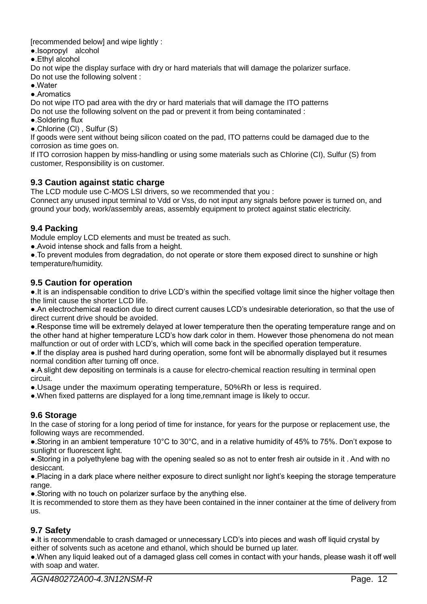[recommended below] and wipe lightly :

- ●.Isopropyl alcohol
- ●.Ethyl alcohol

Do not wipe the display surface with dry or hard materials that will damage the polarizer surface. Do not use the following solvent :

- ●.Water
- ●.Aromatics

Do not wipe ITO pad area with the dry or hard materials that will damage the ITO patterns

Do not use the following solvent on the pad or prevent it from being contaminated :

- ●.Soldering flux
- ●.Chlorine (Cl) , Sulfur (S)

If goods were sent without being silicon coated on the pad, ITO patterns could be damaged due to the corrosion as time goes on.

If ITO corrosion happen by miss-handling or using some materials such as Chlorine (CI), Sulfur (S) from customer, Responsibility is on customer.

#### **9.3 Caution against static charge**

The LCD module use C-MOS LSI drivers, so we recommended that you :

Connect any unused input terminal to Vdd or Vss, do not input any signals before power is turned on, and ground your body, work/assembly areas, assembly equipment to protect against static electricity.

#### **9.4 Packing**

Module employ LCD elements and must be treated as such.

●.Avoid intense shock and falls from a height.

●.To prevent modules from degradation, do not operate or store them exposed direct to sunshine or high temperature/humidity.

#### **9.5 Caution for operation**

●.It is an indispensable condition to drive LCD's within the specified voltage limit since the higher voltage then the limit cause the shorter LCD life.

●.An electrochemical reaction due to direct current causes LCD's undesirable deterioration, so that the use of direct current drive should be avoided.

●.Response time will be extremely delayed at lower temperature then the operating temperature range and on the other hand at higher temperature LCD's how dark color in them. However those phenomena do not mean malfunction or out of order with LCD's, which will come back in the specified operation temperature.

●.If the display area is pushed hard during operation, some font will be abnormally displayed but it resumes normal condition after turning off once.

●.A slight dew depositing on terminals is a cause for electro-chemical reaction resulting in terminal open circuit.

●.Usage under the maximum operating temperature, 50%Rh or less is required.

●.When fixed patterns are displayed for a long time,remnant image is likely to occur.

#### **9.6 Storage**

In the case of storing for a long period of time for instance, for years for the purpose or replacement use, the following ways are recommended.

●.Storing in an ambient temperature 10°C to 30°C, and in a relative humidity of 45% to 75%. Don't expose to sunlight or fluorescent light.

●.Storing in a polyethylene bag with the opening sealed so as not to enter fresh air outside in it . And with no desiccant.

●.Placing in a dark place where neither exposure to direct sunlight nor light's keeping the storage temperature range.

●.Storing with no touch on polarizer surface by the anything else.

It is recommended to store them as they have been contained in the inner container at the time of delivery from us.

#### **9.7 Safety**

●.It is recommendable to crash damaged or unnecessary LCD's into pieces and wash off liquid crystal by either of solvents such as acetone and ethanol, which should be burned up later.

●.When any liquid leaked out of a damaged glass cell comes in contact with your hands, please wash it off well with soap and water.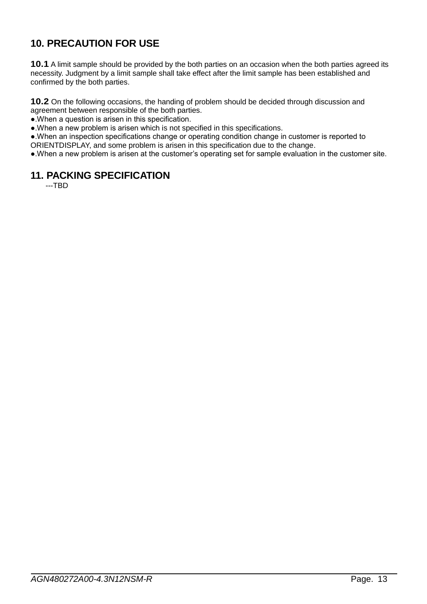### <span id="page-12-0"></span>**10. PRECAUTION FOR USE**

**10.1** A limit sample should be provided by the both parties on an occasion when the both parties agreed its necessity. Judgment by a limit sample shall take effect after the limit sample has been established and confirmed by the both parties.

**10.2** On the following occasions, the handing of problem should be decided through discussion and agreement between responsible of the both parties.

●.When a question is arisen in this specification.

●.When a new problem is arisen which is not specified in this specifications.

●.When an inspection specifications change or operating condition change in customer is reported to ORIENTDISPLAY, and some problem is arisen in this specification due to the change.

<span id="page-12-1"></span>●.When a new problem is arisen at the customer's operating set for sample evaluation in the customer site.

### **11. PACKING SPECIFICATION**

---TBD